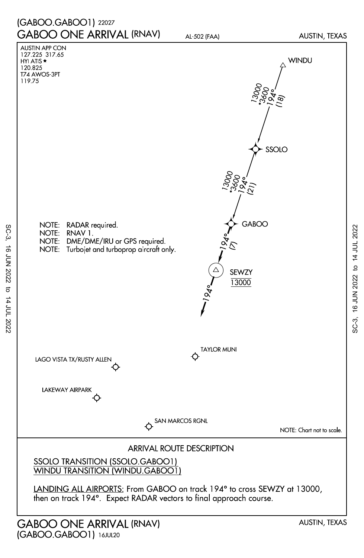## (GABOO.GABOO1) 22027 GABOO ONE ARR**I**VAL (RNAV)

AL-502 (FAA)

SC-3, 16 JUN 2022 to 14 JUL 2022

 $SC-3$ 

16 JUN 2022 to 14 JUL 2022



(GABOO.GABOO1) 16JUL20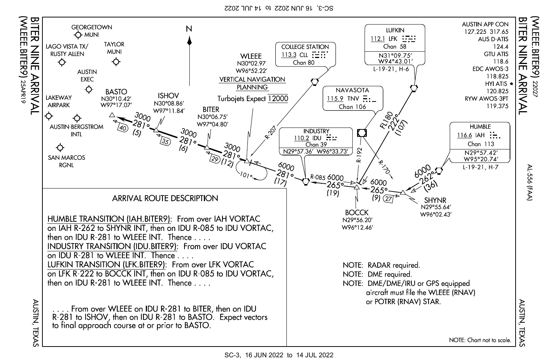SC-3, 16 JUN 2022 to 14 JUL 2022

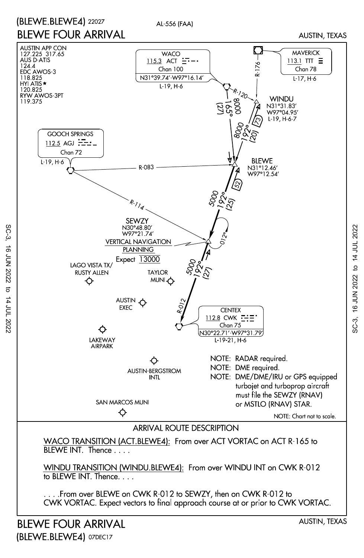

(BLEWE.BLEWE4) 07DEC17

SC-3, 16 JUN 2022 to 14 JUL 2022

 $\sigma$ 

14 JUL 2022

**16 JUN 2022** 

SC-3,